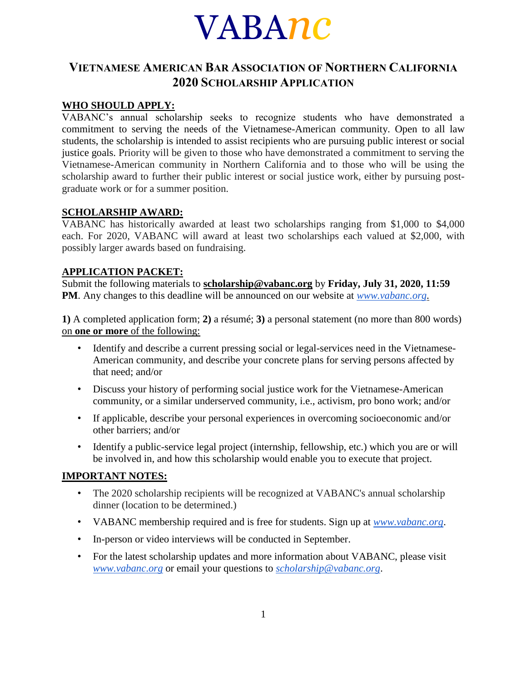# VABA*nc*

# **VIETNAMESE AMERICAN BAR ASSOCIATION OF NORTHERN CALIFORNIA 2020 SCHOLARSHIP APPLICATION**

### **WHO SHOULD APPLY:**

VABANC's annual scholarship seeks to recognize students who have demonstrated a commitment to serving the needs of the Vietnamese-American community. Open to all law students, the scholarship is intended to assist recipients who are pursuing public interest or social justice goals. Priority will be given to those who have demonstrated a commitment to serving the Vietnamese-American community in Northern California and to those who will be using the scholarship award to further their public interest or social justice work, either by pursuing postgraduate work or for a summer position.

#### **SCHOLARSHIP AWARD:**

VABANC has historically awarded at least two scholarships ranging from \$1,000 to \$4,000 each. For 2020, VABANC will award at least two scholarships each valued at \$2,000, with possibly larger awards based on fundraising.

#### **APPLICATION PACKET:**

Submit the following materials to **[scholarship@vabanc.org](mailto:scholarship@vabanc.org)** by **Friday, July 31, 2020, 11:59 PM**. Any changes to this deadline will be announced on our website at *[www.vabanc.org.](http://www.vabanc.org/)*

**1)** A completed application form; **2)** a résumé; **3)** a personal statement (no more than 800 words) on **one or more** of the following:

- Identify and describe a current pressing social or legal-services need in the Vietnamese-American community, and describe your concrete plans for serving persons affected by that need; and/or
- Discuss your history of performing social justice work for the Vietnamese-American community, or a similar underserved community, i.e., activism, pro bono work; and/or
- If applicable, describe your personal experiences in overcoming socioeconomic and/or other barriers; and/or
- Identify a public-service legal project (internship, fellowship, etc.) which you are or will be involved in, and how this scholarship would enable you to execute that project.

#### **IMPORTANT NOTES:**

- The 2020 scholarship recipients will be recognized at VABANC's annual scholarship dinner (location to be determined.)
- VABANC membership required and is free for students. Sign up at *[www.vabanc.org](http://www.vabanc.org/)*.
- In-person or video interviews will be conducted in September.
- For the latest scholarship updates and more information about VABANC, please visit *[www.vabanc](http://www.vabanc.org/)*[.](http://www.vabanc.org/)*[org](http://www.vabanc.org/)* or email your questions to *[scholarship@vabanc.org](mailto:scholarship@vabanc.org)*.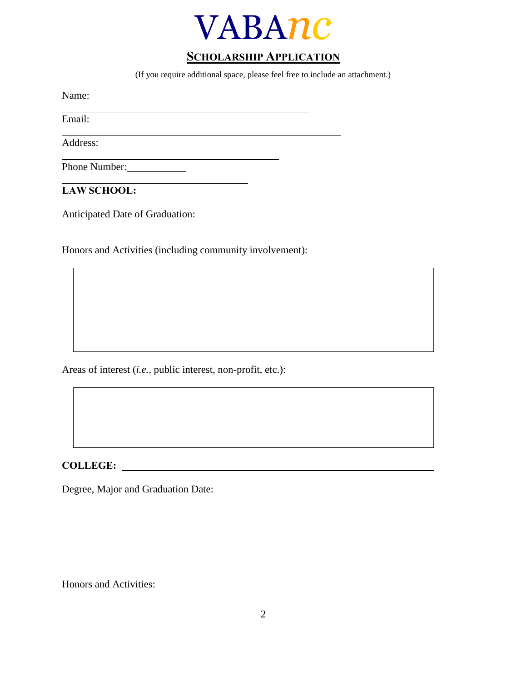

## **SCHOLARSHIP APPLICATION**

(If you require additional space, please feel free to include an attachment.)

Name:

Email:

Address:

Phone Number:

**LAW SCHOOL:**

Anticipated Date of Graduation:

Honors and Activities (including community involvement):

Areas of interest (*i.e.,* public interest, non-profit, etc.):

**COLLEGE:**

Degree, Major and Graduation Date:

Honors and Activities: